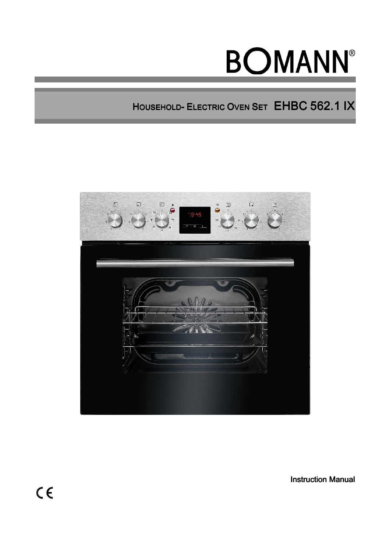# **BOMANN®**

HOUSEHOLD- ELECTRIC OVEN SET EHBC 562.1 IX



Instruction Manual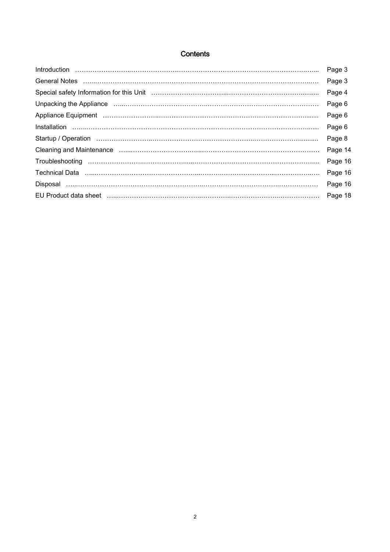# **Contents**

| $\label{eq:interoduction} \begin{minipage}{0.9\textwidth} \centering \begin{minipage}{0.9\textwidth} \centering \end{minipage} \begin{minipage}{0.9\textwidth} \centering \begin{minipage}{0.9\textwidth} \centering \end{minipage} \begin{minipage}{0.9\textwidth} \centering \end{minipage} \begin{minipage}{0.9\textwidth} \centering \end{minipage} \begin{minipage}{0.9\textwidth} \centering \end{minipage} \begin{minipage}{0.9\textwidth} \centering \end{minipage} \begin{minipage}{0.9\textwidth} \centering \end{minipage} \begin{minipage}{0.$ | Page 3  |
|------------------------------------------------------------------------------------------------------------------------------------------------------------------------------------------------------------------------------------------------------------------------------------------------------------------------------------------------------------------------------------------------------------------------------------------------------------------------------------------------------------------------------------------------------------|---------|
|                                                                                                                                                                                                                                                                                                                                                                                                                                                                                                                                                            | Page 3  |
|                                                                                                                                                                                                                                                                                                                                                                                                                                                                                                                                                            | Page 4  |
|                                                                                                                                                                                                                                                                                                                                                                                                                                                                                                                                                            | Page 6  |
|                                                                                                                                                                                                                                                                                                                                                                                                                                                                                                                                                            | Page 6  |
|                                                                                                                                                                                                                                                                                                                                                                                                                                                                                                                                                            | Page 6  |
| Startup / Operation (1000) (1000) (1000) (1000) (1000) (1000) (1000) (1000) (1000) (1000) (1000) (1000) (1000                                                                                                                                                                                                                                                                                                                                                                                                                                              | Page 8  |
| Cleaning and Maintenance manufactured control and Maintenance manufactured control and Maintenance manufactured control and the Cleanist Cleanist and Maintenance manufactured control and the Cleanist Cleanist Cleanist Clea                                                                                                                                                                                                                                                                                                                             | Page 14 |
|                                                                                                                                                                                                                                                                                                                                                                                                                                                                                                                                                            | Page 16 |
|                                                                                                                                                                                                                                                                                                                                                                                                                                                                                                                                                            | Page 16 |
|                                                                                                                                                                                                                                                                                                                                                                                                                                                                                                                                                            | Page 16 |
|                                                                                                                                                                                                                                                                                                                                                                                                                                                                                                                                                            | Page 18 |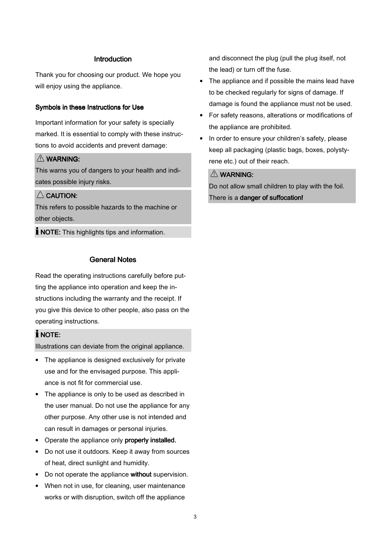#### **Introduction**

Thank you for choosing our product. We hope you will enjoy using the appliance.

#### Symbols in these Instructions for Use

Important information for your safety is specially marked. It is essential to comply with these instructions to avoid accidents and prevent damage:

#### WARNING: WARNING:

This warns you of dangers to your health and indicates possible injury risks.

# $\triangle$  CAUTION:

This refers to possible hazards to the machine or other objects.

**I** NOTE: This highlights tips and information.

#### General Notes

Read the operating instructions carefully before putting the appliance into operation and keep the instructions including the warranty and the receipt. If you give this device to other people, also pass on the operating instructions.

#### $i$  NOTE:

Illustrations can deviate from the original appliance.

- The appliance is designed exclusively for private use and for the envisaged purpose. This appliance is not fit for commercial use.
- The appliance is only to be used as described in the user manual. Do not use the appliance for any other purpose. Any other use is not intended and can result in damages or personal injuries.
- Operate the appliance only properly installed.
- Do not use it outdoors. Keep it away from sources of heat, direct sunlight and humidity.
- Do not operate the appliance without supervision.
- When not in use, for cleaning, user maintenance works or with disruption, switch off the appliance

and disconnect the plug (pull the plug itself, not the lead) or turn off the fuse.

- The appliance and if possible the mains lead have to be checked regularly for signs of damage. If damage is found the appliance must not be used.
- For safety reasons, alterations or modifications of the appliance are prohibited.
- In order to ensure your children's safety, please keep all packaging (plastic bags, boxes, polystyrene etc.) out of their reach.

# WARNING:

Do not allow small children to play with the foil. There is a danger of suffocation!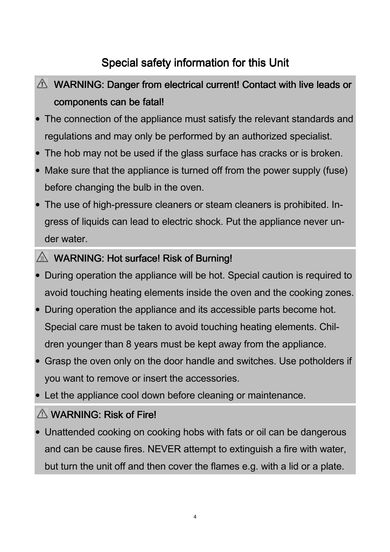# Special safety information for this Unit

# $\triangle$  WARNING: Danger from electrical current! Contact with live leads or components can be fatal!

- The connection of the appliance must satisfy the relevant standards and regulations and may only be performed by an authorized specialist.
- The hob may not be used if the glass surface has cracks or is broken.
- Make sure that the appliance is turned off from the power supply (fuse) before changing the bulb in the oven.
- The use of high-pressure cleaners or steam cleaners is prohibited. Ingress of liquids can lead to electric shock. Put the appliance never under water.

# $\triangle$  WARNING: Hot surface! Risk of Burning!

- During operation the appliance will be hot. Special caution is required to avoid touching heating elements inside the oven and the cooking zones.
- During operation the appliance and its accessible parts become hot. Special care must be taken to avoid touching heating elements. Children younger than 8 years must be kept away from the appliance.
- Grasp the oven only on the door handle and switches. Use potholders if you want to remove or insert the accessories.
- Let the appliance cool down before cleaning or maintenance.

# $\triangle$  WARNING: Risk of Fire!

• Unattended cooking on cooking hobs with fats or oil can be dangerous and can be cause fires. NEVER attempt to extinguish a fire with water, but turn the unit off and then cover the flames e.g. with a lid or a plate.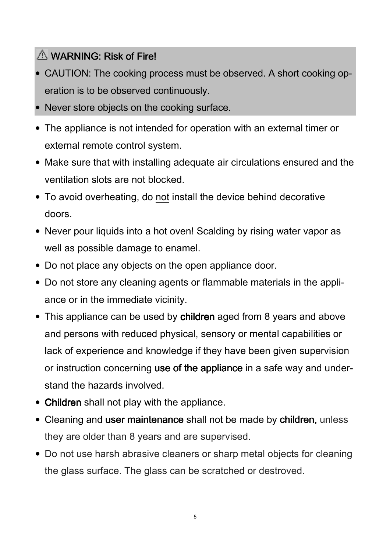# $\triangle$  WARNING: Risk of Fire!

- CAUTION: The cooking process must be observed. A short cooking operation is to be observed continuously.
- Never store objects on the cooking surface.
- The appliance is not intended for operation with an external timer or external remote control system.
- Make sure that with installing adequate air circulations ensured and the ventilation slots are not blocked.
- To avoid overheating, do not install the device behind decorative doors.
- Never pour liquids into a hot oven! Scalding by rising water vapor as well as possible damage to enamel.
- Do not place any objects on the open appliance door.
- Do not store any cleaning agents or flammable materials in the appliance or in the immediate vicinity.
- This appliance can be used by children aged from 8 years and above and persons with reduced physical, sensory or mental capabilities or lack of experience and knowledge if they have been given supervision or instruction concerning use of the appliance in a safe way and understand the hazards involved.
- Children shall not play with the appliance.
- Cleaning and user maintenance shall not be made by children, unless they are older than 8 years and are supervised.
- Do not use harsh abrasive cleaners or sharp metal objects for cleaning the glass surface. The glass can be scratched or destroved.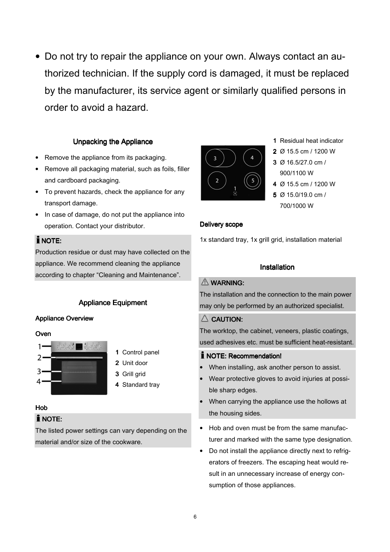• Do not try to repair the appliance on your own. Always contact an authorized technician. If the supply cord is damaged, it must be replaced by the manufacturer, its service agent or similarly qualified persons in order to avoid a hazard.

#### Unpacking the Appliance

- Remove the appliance from its packaging.
- Remove all packaging material, such as foils, filler and cardboard packaging.
- To prevent hazards, check the appliance for any transport damage.
- In case of damage, do not put the appliance into operation. Contact your distributor.

# $i$  NOTE:

Production residue or dust may have collected on the appliance. We recommend cleaning the appliance according to chapter "Cleaning and Maintenance".

# **Appliance Equipment**

# Appliance Overview

**Oven** 



- 1 Control panel
- 2 Unit door
- 3 Grill grid
- 4 Standard tray

# Hob

# **I** NOTE:

The listed power settings can vary depending on the material and/or size of the cookware.



- 1 Residual heat indicator
- 2 Ø 15.5 cm / 1200 W
- 3 Ø 16.5/27.0 cm / 3 900/1100 W
- 4 Ø 15.5 cm / 1200 W
- 5  $\varnothing$  15.0/19.0 cm / 700/1000 W

#### Delivery scope

1x standard tray, 1x grill grid, installation material

#### **Installation**

# $M$  WARNING:

The installation and the connection to the main power may only be performed by an authorized specialist.

# $\triangle$  CAUTION:

The worktop, the cabinet, veneers, plastic coatings, used adhesives etc. must be sufficient heat-resistant.

# $i$  NOTE: Recommendation!

- When installing, ask another person to assist.
- Wear protective gloves to avoid injuries at possible sharp edges.
- When carrying the appliance use the hollows at the housing sides.
- Hob and oven must be from the same manufacturer and marked with the same type designation.
- Do not install the appliance directly next to refrigerators of freezers. The escaping heat would result in an unnecessary increase of energy consumption of those appliances.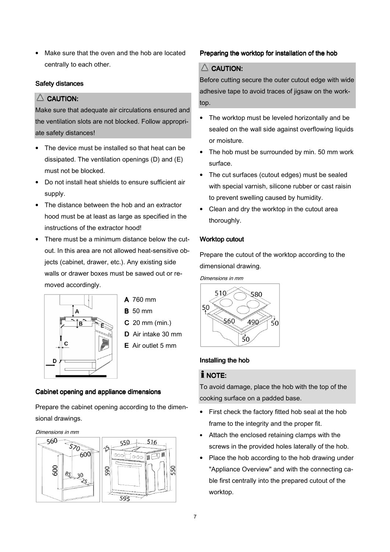Make sure that the oven and the hob are located centrally to each other.

# Safety distances

# $\triangle$  CAUTION:

Make sure that adequate air circulations ensured and the ventilation slots are not blocked. Follow appropriate safety distances!

- The device must be installed so that heat can be dissipated. The ventilation openings (D) and (E) must not be blocked.
- Do not install heat shields to ensure sufficient air supply.
- The distance between the hob and an extractor hood must be at least as large as specified in the instructions of the extractor hood!
- There must be a minimum distance below the cutout. In this area are not allowed heat-sensitive objects (cabinet, drawer, etc.). Any existing side walls or drawer boxes must be sawed out or removed accordingly.



- $A$  760 mm
- $B$  50 mm
- C 20 mm (min.)
- D Air intake 30 mm
- E Air outlet 5 mm

# Cabinet opening and appliance dimensions

Prepare the cabinet opening according to the dimensional drawings.

Dimensions in mm



# Preparing the worktop for installation of the hob

# $\triangle$  CAUTION:

Before cutting secure the outer cutout edge with wide adhesive tape to avoid traces of jigsaw on the worktop.

- The worktop must be leveled horizontally and be sealed on the wall side against overflowing liquids or moisture.
- The hob must be surrounded by min. 50 mm work surface.
- The cut surfaces (cutout edges) must be sealed with special varnish, silicone rubber or cast raisin to prevent swelling caused by humidity.
- Clean and dry the worktop in the cutout area thoroughly.

# Worktop cutout

Prepare the cutout of the worktop according to the dimensional drawing.

Dimensions in mm



# Installing the hob

# $i$  NOTE:

To avoid damage, place the hob with the top of the cooking surface on a padded base.

- First check the factory fitted hob seal at the hob frame to the integrity and the proper fit.
- Attach the enclosed retaining clamps with the screws in the provided holes laterally of the hob.
- Place the hob according to the hob drawing under "Appliance Overview" and with the connecting cable first centrally into the prepared cutout of the worktop.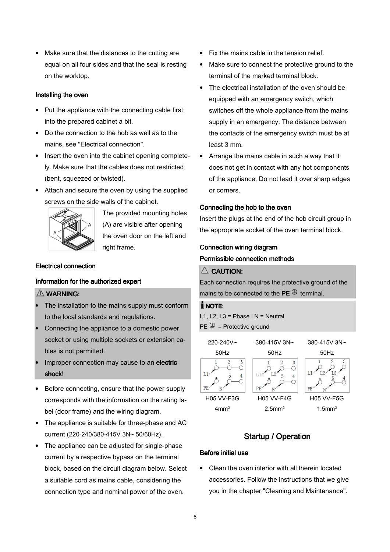• Make sure that the distances to the cutting are equal on all four sides and that the seal is resting on the worktop.

#### Installing the oven

- Put the appliance with the connecting cable first into the prepared cabinet a bit.
- Do the connection to the hob as well as to the mains, see "Electrical connection".
- Insert the oven into the cabinet opening completely. Make sure that the cables does not restricted (bent, squeezed or twisted).
- Attach and secure the oven by using the supplied screws on the side walls of the cabinet.



The provided mounting holes (A) are visible after opening the oven door on the left and right frame.

#### Electrical connection Electrical connection

#### Information for the authorized expert

#### $M$  WARNING:

- The installation to the mains supply must conform to the local standards and regulations.
- Connecting the appliance to a domestic power socket or using multiple sockets or extension cables is not permitted.
- Improper connection may cause to an electric shock!
- Before connecting, ensure that the power supply corresponds with the information on the rating label (door frame) and the wiring diagram.
- The appliance is suitable for three-phase and AC current (220-240/380-415V 3N~ 50/60Hz).
- The appliance can be adjusted for single-phase current by a respective bypass on the terminal block, based on the circuit diagram below. Select a suitable cord as mains cable, considering the connection type and nominal power of the oven.
- Fix the mains cable in the tension relief.
- Make sure to connect the protective ground to the terminal of the marked terminal block.
- The electrical installation of the oven should be equipped with an emergency switch, which switches off the whole appliance from the mains supply in an emergency. The distance between the contacts of the emergency switch must be at least 3 mm.
- Arrange the mains cable in such a way that it does not get in contact with any hot components of the appliance. Do not lead it over sharp edges or corners.

#### Connecting the hob to the oven

Insert the plugs at the end of the hob circuit group in the appropriate socket of the oven terminal block.

#### Connection wiring diagram

# Permissible connection methods

# $\triangle$  CAUTION:

Each connection requires the protective ground of the mains to be connected to the  $\mathsf{PE} \overset{\mathbb{\oplus}}{\rightarrow}$  terminal.

#### I NOTE:

L1, L2, L3 = Phase  $| N =$  Neutral  $PE \oplus$  = Protective ground



# Startup / Operation

#### Before initial use

• Clean the oven interior with all therein located accessories. Follow the instructions that we give you in the chapter "Cleaning and Maintenance".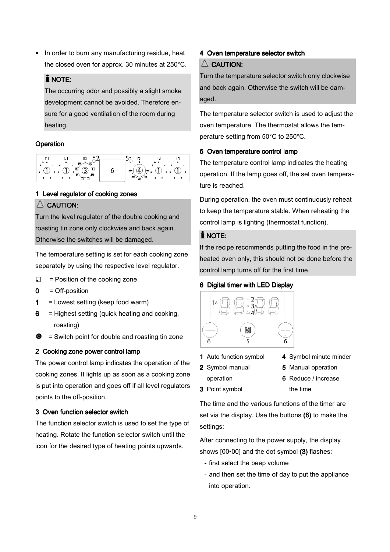In order to burn any manufacturing residue, heat the closed oven for approx. 30 minutes at 250°C.

# $i$  NOTE:

The occurring odor and possibly a slight smoke development cannot be avoided. Therefore ensure for a good ventilation of the room during heating.

# **Operation**

| 6<br>$\overline{\mathbf{a}}$<br>s |  | 250 | я | ٠<br>$\mathbf{3}$ |
|-----------------------------------|--|-----|---|-------------------|
|-----------------------------------|--|-----|---|-------------------|

# 1 Level regulator of cooking zones

# $\triangle$  CAUTION:

Turn the level regulator of the double cooking and roasting tin zone only clockwise and back again. Otherwise the switches will be damaged.

The temperature setting is set for each cooking zone separately by using the respective level regulator.

- $\Box$ = Position of the cooking zone
- $0 =$  Off-position
- $1 =$  Lowest setting (keep food warm)
- $6$  = Highest setting (quick heating and cooking, roasting)
- $\bullet$ = Switch point for double and roasting tin zone

# 2 Cooking zone power control lamp

The power control lamp indicates the operation of the cooking zones. It lights up as soon as a cooking zone is put into operation and goes off if all level regulators points to the off-position.

# 3 Oven function selector switch

The function selector switch is used to set the type of heating. Rotate the function selector switch until the icon for the desired type of heating points upwards.

# 4 Oven temperature selector switch

# $\triangle$  CAUTION:

Turn the temperature selector switch only clockwise and back again. Otherwise the switch will be damaged.

The temperature selector switch is used to adjust the oven temperature. The thermostat allows the temperature setting from 50°C to 250°C.

# 5 Oven temperature control lamp

The temperature control lamp indicates the heating operation. If the lamp goes off, the set oven temperature is reached.

During operation, the oven must continuously reheat to keep the temperature stable. When reheating the control lamp is lighting (thermostat function).

# $i$  NOTE:

If the recipe recommends putting the food in the preheated oven only, this should not be done before the control lamp turns off for the first time.

# 6 Digital timer with LED Display



1 Auto function symbol

3 Point symbol

- 2 Symbol manual
- 4 Symbol minute minder
- operation
- 5 Manual operation
- 6 Reduce / increase the time

The time and the various functions of the timer are set via the display. Use the buttons  $(6)$  to make the settings:

After connecting to the power supply, the display shows [00•00] and the dot symbol (3) flashes:

- first select the beep volume
- and then set the time of day to put the appliance into operation.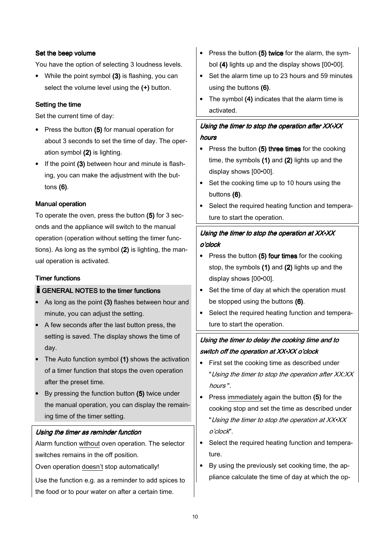# Set the beep volume

You have the option of selecting 3 loudness levels.

• While the point symbol (3) is flashing, you can select the volume level using the (+) button.

#### Setting the time

Set the current time of day:

- Press the button (5) for manual operation for about 3 seconds to set the time of day. The operation symbol (2) is lighting.
- If the point (3) between hour and minute is flashing, you can make the adjustment with the buttons (6).

#### Manual operation

To operate the oven, press the button (5) for 3 seconds and the appliance will switch to the manual operation (operation without setting the timer functions). As long as the symbol (2) is lighting, the manual operation is activated.

# **Timer functions**

# $\check{\mathbf{I}}$  GENERAL NOTES to the timer functions

- As long as the point (3) flashes between hour and minute, you can adjust the setting.
- A few seconds after the last button press, the setting is saved. The display shows the time of day.
- The Auto function symbol (1) shows the activation of a timer function that stops the oven operation after the preset time.
- By pressing the function button (5) twice under the manual operation, you can display the remaining time of the timer setting.

# Using the timer as reminder function

Alarm function without oven operation. The selector switches remains in the off position.

Oven operation doesn't stop automatically!

Use the function e.g. as a reminder to add spices to the food or to pour water on after a certain time.

- Press the button  $(5)$  twice for the alarm, the symbol (4) lights up and the display shows [00•00].
- Set the alarm time up to 23 hours and 59 minutes using the buttons (6).
- The symbol (4) indicates that the alarm time is activated.

# Using the timer to stop the operation after XX•XX hours

- Press the button  $(5)$  three times for the cooking time, the symbols (1) and (2) lights up and the display shows [00•00].
- Set the cooking time up to 10 hours using the buttons (6).
- Select the required heating function and temperature to start the operation.

# Using the timer to stop the operation at  $XX*XX$ o'clock

- Press the button  $(5)$  four times for the cooking stop, the symbols (1) and (2) lights up and the display shows [00•00].
- Set the time of day at which the operation must be stopped using the buttons (6).
- Select the required heating function and temperature to start the operation.

# Using the timer to delay the cooking time and to switch off the operation at XX•XX o'clock

- First set the cooking time as described under "Using the timer to stop the operation after XX:XX" hours ".
- Press immediately again the button (5) for the cooking stop and set the time as described under "Using the timer to stop the operation at XX•XX <sup>o</sup>'clock".
- Select the required heating function and temperature.
- By using the previously set cooking time, the appliance calculate the time of day at which the op-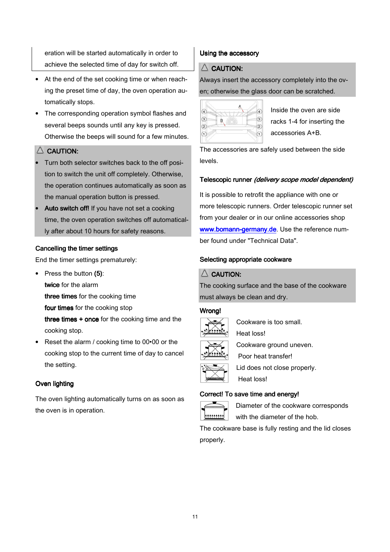eration will be started automatically in order to achieve the selected time of day for switch off.

- At the end of the set cooking time or when reaching the preset time of day, the oven operation automatically stops.
- The corresponding operation symbol flashes and several beeps sounds until any key is pressed. Otherwise the beeps will sound for a few minutes.

# $\triangle$  Caution:

- Turn both selector switches back to the off position to switch the unit off completely. Otherwise, the operation continues automatically as soon as the manual operation button is pressed.
- Auto switch off! If you have not set a cooking time, the oven operation switches off automatically after about 10 hours for safety reasons.

# Cancelling the timer settings

End the timer settings prematurely:

- Press the button (5): twice for the alarm three times for the cooking time four times for the cooking stop three times  $+$  once for the cooking time and the cooking stop.
- Reset the alarm / cooking time to 00 $\cdot$ 00 or the cooking stop to the current time of day to cancel the setting.

# Oven lighting

The oven lighting automatically turns on as soon as the oven is in operation.

# Using the accessory

# $\triangle$  CAUTION:

Always insert the accessory completely into the oven; otherwise the glass door can be scratched.



Inside the oven are side racks 1-4 for inserting the accessories A+B.

The accessories are safely used between the side levels.

# Telescopic runner (delivery scope model dependent)

It is possible to retrofit the appliance with one or more telescopic runners. Order telescopic runner set from your dealer or in our online accessories shop www.bomann-germany.de. Use the reference number found under "Technical Data".

# Selecting appropriate cookware

# $\triangle$  CAUTION:

The cooking surface and the base of the cookware must always be clean and dry.

# Wrong!



Cookware is too small.



Heat loss!



Cookware ground uneven. Poor heat transfer! Lid does not close properly. Heat loss!

# Correct! To save time and energy!



Diameter of the cookware corresponds with the diameter of the hob.

The cookware base is fully resting and the lid closes properly.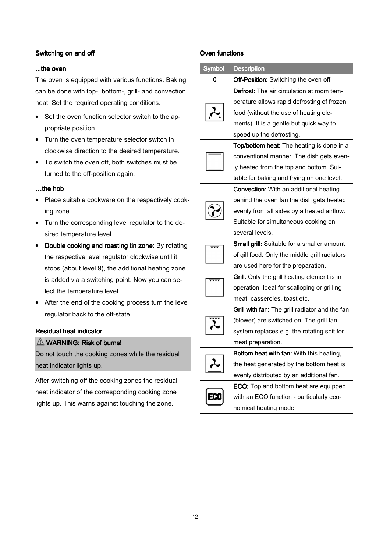# Switching on and off

# ...the oven

The oven is equipped with various functions. Baking can be done with top-, bottom-, grill- and convection heat. Set the required operating conditions.

- Set the oven function selector switch to the appropriate position.
- Turn the oven temperature selector switch in clockwise direction to the desired temperature.
- To switch the oven off, both switches must be turned to the off-position again.

# $...$ the hob

- Place suitable cookware on the respectively cooking zone.
- Turn the corresponding level regulator to the desired temperature level.
- Double cooking and roasting tin zone: By rotating the respective level regulator clockwise until it stops (about level 9), the additional heating zone is added via a switching point. Now you can select the temperature level.
- After the end of the cooking process turn the level regulator back to the off-state.

# Residual heat indicator

# $\triangle$  WARNING: Risk of burns!

Do not touch the cooking zones while the residual heat indicator lights up.

After switching off the cooking zones the residual heat indicator of the corresponding cooking zone lights up. This warns against touching the zone.

#### Oven functions

| <b>Symbol</b> | <b>Description</b>                                 |
|---------------|----------------------------------------------------|
| 0             | Off-Position: Switching the oven off.              |
|               | <b>Defrost:</b> The air circulation at room tem-   |
|               | perature allows rapid defrosting of frozen         |
|               | food (without the use of heating ele-              |
|               | ments). It is a gentle but quick way to            |
|               | speed up the defrosting.                           |
|               | Top/bottom heat: The heating is done in a          |
|               | conventional manner. The dish gets even-           |
|               | ly heated from the top and bottom. Sui-            |
|               | table for baking and frying on one level.          |
|               | <b>Convection:</b> With an additional heating      |
|               | behind the oven fan the dish gets heated           |
|               | evenly from all sides by a heated airflow.         |
|               | Suitable for simultaneous cooking on               |
|               | several levels.                                    |
|               | <b>Small grill:</b> Suitable for a smaller amount  |
|               | of gill food. Only the middle grill radiators      |
|               | are used here for the preparation.                 |
|               | <b>Grill:</b> Only the grill heating element is in |
|               | operation. Ideal for scalloping or grilling        |
|               | meat, casseroles, toast etc.                       |
|               | Grill with fan: The grill radiator and the fan     |
|               | (blower) are switched on. The grill fan            |
|               | system replaces e.g. the rotating spit for         |
|               | meat preparation.                                  |
|               | Bottom heat with fan: With this heating,           |
|               | the heat generated by the bottom heat is           |
|               | evenly distributed by an additional fan.           |
|               | ECO: Top and bottom heat are equipped              |
|               | with an ECO function - particularly eco-           |
|               | nomical heating mode.                              |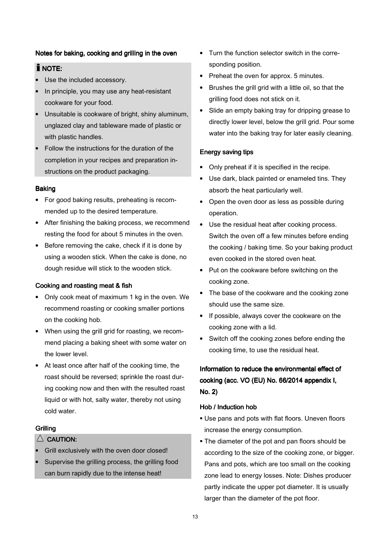#### Notes for baking, cooking and grilling in the oven

# $i$  note:

- Use the included accessory.
- In principle, you may use any heat-resistant cookware for your food.
- Unsuitable is cookware of bright, shiny aluminum, unglazed clay and tableware made of plastic or with plastic handles.
- Follow the instructions for the duration of the completion in your recipes and preparation instructions on the product packaging.

#### Baking

- For good baking results, preheating is recommended up to the desired temperature.
- After finishing the baking process, we recommend resting the food for about 5 minutes in the oven.
- Before removing the cake, check if it is done by using a wooden stick. When the cake is done, no dough residue will stick to the wooden stick.

# Cooking and roasting meat & fish

- Only cook meat of maximum 1 kg in the oven. We recommend roasting or cooking smaller portions on the cooking hob.
- When using the grill grid for roasting, we recommend placing a baking sheet with some water on the lower level.
- At least once after half of the cooking time, the roast should be reversed; sprinkle the roast during cooking now and then with the resulted roast liquid or with hot, salty water, thereby not using cold water.

#### **Grilling**

# $\triangle$  CAUTION:

- Grill exclusively with the oven door closed!
- Supervise the grilling process, the grilling food can burn rapidly due to the intense heat!
- Turn the function selector switch in the corresponding position.
- Preheat the oven for approx. 5 minutes.
- Brushes the grill grid with a little oil, so that the grilling food does not stick on it.
- Slide an empty baking tray for dripping grease to directly lower level, below the grill grid. Pour some water into the baking tray for later easily cleaning.

#### Energy saving tips

- Only preheat if it is specified in the recipe.
- Use dark, black painted or enameled tins. They absorb the heat particularly well.
- Open the oven door as less as possible during operation.
- Use the residual heat after cooking process. Switch the oven off a few minutes before ending the cooking / baking time. So your baking product even cooked in the stored oven heat.
- Put on the cookware before switching on the cooking zone.
- The base of the cookware and the cooking zone should use the same size.
- If possible, always cover the cookware on the cooking zone with a lid.
- Switch off the cooking zones before ending the cooking time, to use the residual heat.

# Information to reduce the environmental effect of cooking (acc. VO (EU) No. 66/2014 appendix I, No. 2)

#### Hob / Induction hob

- Use pans and pots with flat floors. Uneven floors increase the energy consumption.
- The diameter of the pot and pan floors should be according to the size of the cooking zone, or bigger. Pans and pots, which are too small on the cooking zone lead to energy losses. Note: Dishes producer partly indicate the upper pot diameter. It is usually larger than the diameter of the pot floor.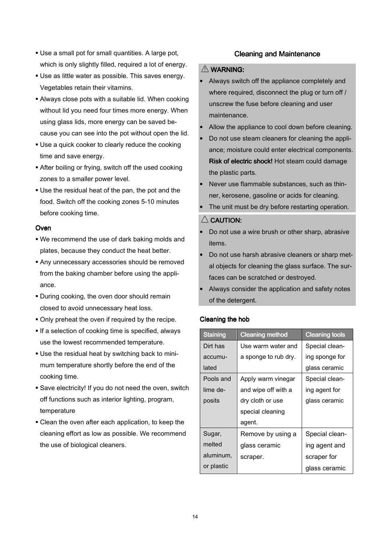- Use a small pot for small quantities. A large pot, which is only slightly filled, required a lot of energy.
- Use as little water as possible. This saves energy. Vegetables retain their vitamins.
- Always close pots with a suitable lid. When cooking without lid you need four times more energy. When using glass lids, more energy can be saved because you can see into the pot without open the lid.
- Use a quick cooker to clearly reduce the cooking time and save energy.
- After boiling or frying, switch off the used cooking zones to a smaller power level.
- Use the residual heat of the pan, the pot and the food. Switch off the cooking zones 5-10 minutes before cooking time.

# **Oven**

- We recommend the use of dark baking molds and plates, because they conduct the heat better.
- Any unnecessary accessories should be removed from the baking chamber before using the appliance.
- **During cooking, the oven door should remain** closed to avoid unnecessary heat loss.
- Only preheat the oven if required by the recipe.
- **If a selection of cooking time is specified, always** use the lowest recommended temperature.
- Use the residual heat by switching back to minimum temperature shortly before the end of the cooking time.
- Save electricity! If you do not need the oven, switch off functions such as interior lighting, program, temperature
- Clean the oven after each application, to keep the cleaning effort as low as possible. We recommend the use of biological cleaners.

# **Cleaning and Maintenance**

# $\triangle$  WARNING:

- Always switch off the appliance completely and where required, disconnect the plug or turn off / unscrew the fuse before cleaning and user maintenance.
- Allow the appliance to cool down before cleaning.
- Do not use steam cleaners for cleaning the appliance; moisture could enter electrical components. Risk of electric shock! Hot steam could damage the plastic parts.
- Never use flammable substances, such as thinner, kerosene, gasoline or acids for cleaning.
- The unit must be dry before restarting operation.

#### $\triangle$  CAUTION:

- Do not use a wire brush or other sharp, abrasive items.
- Do not use harsh abrasive cleaners or sharp metal objects for cleaning the glass surface. The surfaces can be scratched or destroyed.
- Always consider the application and safety notes of the detergent.

# Cleaning the hob

| <b>Staining</b> | <b>Cleaning method</b> | <b>Cleaning tools</b> |
|-----------------|------------------------|-----------------------|
| Dirt has        | Use warm water and     | Special clean-        |
| accumu-         | a sponge to rub dry.   | ing sponge for        |
| lated           |                        | glass ceramic         |
| Pools and       | Apply warm vinegar     | Special clean-        |
| lime de-        | and wipe off with a    | ing agent for         |
| posits          | dry cloth or use       | glass ceramic         |
|                 | special cleaning       |                       |
|                 | agent.                 |                       |
| Sugar,          | Remove by using a      | Special clean-        |
| melted          | glass ceramic          | ing agent and         |
| aluminum,       | scraper.               | scraper for           |
| or plastic      |                        | glass ceramic         |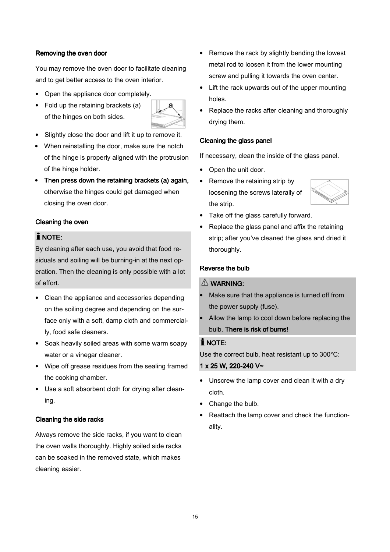#### Removing the oven door

You may remove the oven door to facilitate cleaning and to get better access to the oven interior.

- Open the appliance door completely.
- Fold up the retaining brackets (a) of the hinges on both sides.



- Slightly close the door and lift it up to remove it.
- When reinstalling the door, make sure the notch of the hinge is properly aligned with the protrusion of the hinge holder.
- Then press down the retaining brackets (a) again, otherwise the hinges could get damaged when closing the oven door.

#### Cleaning the oven

# $i$  NOTE:

By cleaning after each use, you avoid that food residuals and soiling will be burning-in at the next operation. Then the cleaning is only possible with a lot of effort.

- Clean the appliance and accessories depending on the soiling degree and depending on the surface only with a soft, damp cloth and commercially, food safe cleaners.
- Soak heavily soiled areas with some warm soapy water or a vinegar cleaner.
- Wipe off grease residues from the sealing framed the cooking chamber.
- Use a soft absorbent cloth for drying after cleaning.

#### Cleaning the side racks

Always remove the side racks, if you want to clean the oven walls thoroughly. Highly soiled side racks can be soaked in the removed state, which makes cleaning easier.

- Remove the rack by slightly bending the lowest metal rod to loosen it from the lower mounting screw and pulling it towards the oven center.
- Lift the rack upwards out of the upper mounting holes.
- Replace the racks after cleaning and thoroughly drying them.

#### Cleaning the glass panel

If necessary, clean the inside of the glass panel.

- Open the unit door.
- Remove the retaining strip by loosening the screws laterally of the strip.



- Take off the glass carefully forward.
- Replace the glass panel and affix the retaining strip; after you've cleaned the glass and dried it thoroughly.

#### Reverse the bulb

# $\triangle$  WARNING:

- Make sure that the appliance is turned off from the power supply (fuse).
- Allow the lamp to cool down before replacing the bulb. There is risk of burns!

#### $i$  NOTE:

Use the correct bulb, heat resistant up to 300°C:

#### 1 x 25W, 220-240V~

- Unscrew the lamp cover and clean it with a dry cloth.
- Change the bulb.
- Reattach the lamp cover and check the functionality.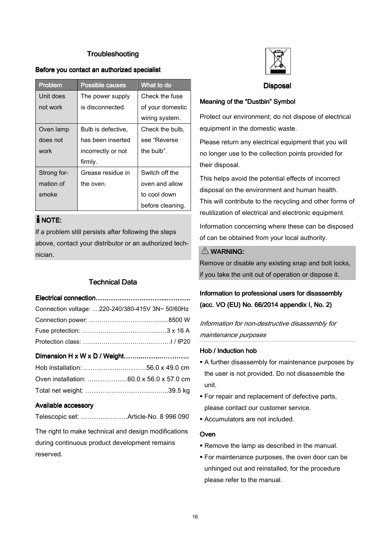# **Troubleshooting**

#### Before you contact an authorized specialist

| <b>Problem</b> | <b>Possible causes</b> | What to do       |
|----------------|------------------------|------------------|
| Unit does      | The power supply       | Check the fuse   |
| not work       | is disconnected.       | of your domestic |
|                |                        | wiring system.   |
| Oven lamp      | Bulb is defective,     | Check the bulb,  |
| does not       | has been inserted      | see "Reverse     |
| work           | incorrectly or not     | the bulb".       |
|                | firmly.                |                  |
| Strong for-    | Grease residue in      | Switch off the   |
| mation of      | the oven.              | oven and allow   |
| smoke          |                        | to cool down     |
|                |                        | before cleaning. |

# $i$  NOTE:

If a problem still persists after following the steps above, contact your distributor or an authorized technician.

# **Technical Data**

| Connection voltage: 220-240/380-415V 3N~ 50/60Hz |
|--------------------------------------------------|
|                                                  |
|                                                  |
|                                                  |
|                                                  |
|                                                  |
|                                                  |
|                                                  |

#### Available accessory

Telescopic set: ………...……….Article-No. 8 996 090

The right to make technical and design modifications during continuous product development remains reserved.



Disposal

#### Meaning of the "Dustbin" Symbol

Protect our environment; do not dispose of electrical equipment in the domestic waste.

Please return any electrical equipment that you will no longer use to the collection points provided for their disposal.

This helps avoid the potential effects of incorrect disposal on the environment and human health. This will contribute to the recycling and other forms of reutilization of electrical and electronic equipment.

Information concerning where these can be disposed of can be obtained from your local authority.

#### WARNING: WARNING:

Remove or disable any existing snap and bolt locks, if you take the unit out of operation or dispose it.

# Information to professional users for disassembly (acc. VO (EU) No. 66/2014 appendix I, No. 2)

Information for non-destructive disassembly for maintenance purposes

# Hob / Induction hob

- A further disassembly for maintenance purposes by the user is not provided. Do not disassemble the unit.
- **For repair and replacement of defective parts,** please contact our customer service.
- Accumulators are not included.

#### **Oven**

- Remove the lamp as described in the manual.
- For maintenance purposes, the oven door can be unhinged out and reinstalled, for the procedure please refer to the manual.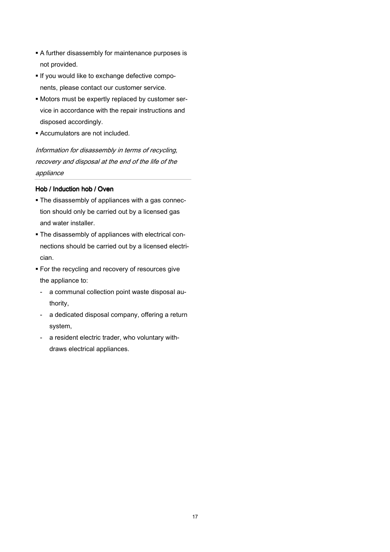- A further disassembly for maintenance purposes is not provided.
- If you would like to exchange defective components, please contact our customer service.
- Motors must be expertly replaced by customer service in accordance with the repair instructions and disposed accordingly.
- Accumulators are not included.

Information for disassembly in terms of recycling, recovery and disposal at the end of the life of the appliance

# Hob / Induction hob / Oven

- The disassembly of appliances with a gas connection should only be carried out by a licensed gas and water installer.
- The disassembly of appliances with electrical connections should be carried out by a licensed electrician.
- **For the recycling and recovery of resources give** the appliance to:
	- a communal collection point waste disposal authority,
	- a dedicated disposal company, offering a return system,
	- a resident electric trader, who voluntary withdraws electrical appliances.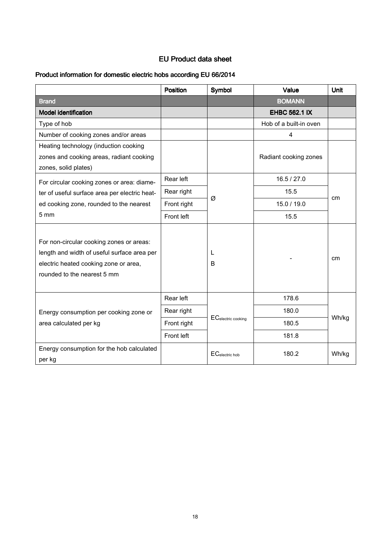# EU Product data sheet

# Product information for domestic electric hobs according EU 66/2014

|                                                                                                                                                                 | Position    | Symbol             | Value                  | Unit  |  |
|-----------------------------------------------------------------------------------------------------------------------------------------------------------------|-------------|--------------------|------------------------|-------|--|
| <b>Brand</b>                                                                                                                                                    |             |                    | <b>BOMANN</b>          |       |  |
| <b>Model identification</b>                                                                                                                                     |             |                    | <b>EHBC 562.1 IX</b>   |       |  |
| Type of hob                                                                                                                                                     |             |                    | Hob of a built-in oven |       |  |
| Number of cooking zones and/or areas                                                                                                                            |             |                    | 4                      |       |  |
| Heating technology (induction cooking                                                                                                                           |             |                    |                        |       |  |
| zones and cooking areas, radiant cooking                                                                                                                        |             |                    | Radiant cooking zones  |       |  |
| zones, solid plates)                                                                                                                                            |             |                    |                        |       |  |
| For circular cooking zones or area: diame-                                                                                                                      | Rear left   |                    | 16.5 / 27.0            |       |  |
| ter of useful surface area per electric heat-                                                                                                                   | Rear right  |                    | 15.5                   | cm    |  |
| ed cooking zone, rounded to the nearest                                                                                                                         | Front right | Ø                  | 15.0 / 19.0            |       |  |
| 5 mm                                                                                                                                                            | Front left  |                    | 15.5                   |       |  |
| For non-circular cooking zones or areas:<br>length and width of useful surface area per<br>electric heated cooking zone or area,<br>rounded to the nearest 5 mm |             | L<br>B             |                        | cm    |  |
|                                                                                                                                                                 | Rear left   |                    | 178.6                  |       |  |
| Energy consumption per cooking zone or                                                                                                                          | Rear right  | ECelectric cooking | 180.0                  | Wh/kg |  |
| area calculated per kg                                                                                                                                          | Front right |                    | 180.5                  |       |  |
|                                                                                                                                                                 | Front left  |                    | 181.8                  |       |  |
| Energy consumption for the hob calculated<br>per kg                                                                                                             |             | ECelectric hob     | 180.2                  | Wh/kg |  |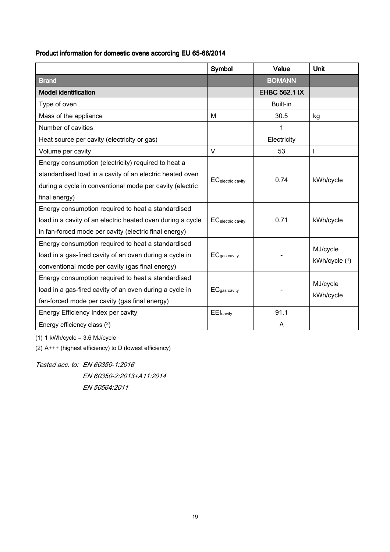# Product information for domestic ovens according EU 65-66/2014

|                                                            | Symbol                    | Value                | Unit          |
|------------------------------------------------------------|---------------------------|----------------------|---------------|
| <b>Brand</b>                                               |                           | <b>BOMANN</b>        |               |
| <b>Model identification</b>                                |                           | <b>EHBC 562.1 IX</b> |               |
| Type of oven                                               |                           | Built-in             |               |
| Mass of the appliance                                      | м                         | 30.5                 | kg            |
| Number of cavities                                         |                           | 1                    |               |
| Heat source per cavity (electricity or gas)                |                           | Electricity          |               |
| Volume per cavity                                          | $\vee$                    | 53                   | I             |
| Energy consumption (electricity) required to heat a        |                           |                      |               |
| standardised load in a cavity of an electric heated oven   |                           | 0.74                 |               |
| during a cycle in conventional mode per cavity (electric   | <b>EC</b> electric cavity |                      | kWh/cycle     |
| final energy)                                              |                           |                      |               |
| Energy consumption required to heat a standardised         |                           |                      |               |
| load in a cavity of an electric heated oven during a cycle | <b>EC</b> electric cavity | 0.71                 | kWh/cycle     |
| in fan-forced mode per cavity (electric final energy)      |                           |                      |               |
| Energy consumption required to heat a standardised         |                           |                      | MJ/cycle      |
| load in a gas-fired cavity of an oven during a cycle in    | ECgas cavity              |                      | kWh/cycle (1) |
| conventional mode per cavity (gas final energy)            |                           |                      |               |
| Energy consumption required to heat a standardised         |                           |                      |               |
| load in a gas-fired cavity of an oven during a cycle in    | ECgas cavity              |                      | MJ/cycle      |
| fan-forced mode per cavity (gas final energy)              |                           |                      | kWh/cycle     |
| Energy Efficiency Index per cavity                         | <b>EEI</b> cavity         | 91.1                 |               |
| Energy efficiency class (2)                                |                           | A                    |               |

(1) 1 kWh/cycle = 3.6 MJ/cycle

(2) A+++ (highest efficiency) to D (lowest efficiency)

Tested acc. to: EN 60350-1:2016 EN 60350-2:2013+A11:2014 EN 50564:2011